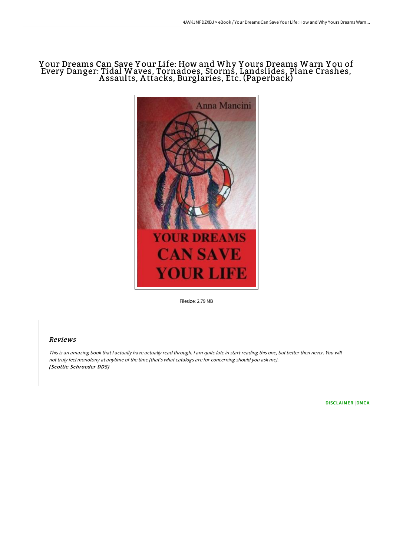# Y our Dreams Can Save Y our Life: How and Why Y ours Dreams Warn Y ou of Every Danger: Tidal Waves, Tornadoes, Storms, Landslides, Plane Crashes, A ssaults, A ttacks, Burglaries, Etc. (Paperback)



Filesize: 2.79 MB

## Reviews

This is an amazing book that I actually have actually read through. I am quite late in start reading this one, but better then never. You will not truly feel monotony at anytime of the time (that's what catalogs are for concerning should you ask me). (Scottie Schroeder DDS)

[DISCLAIMER](http://techno-pub.tech/disclaimer.html) | [DMCA](http://techno-pub.tech/dmca.html)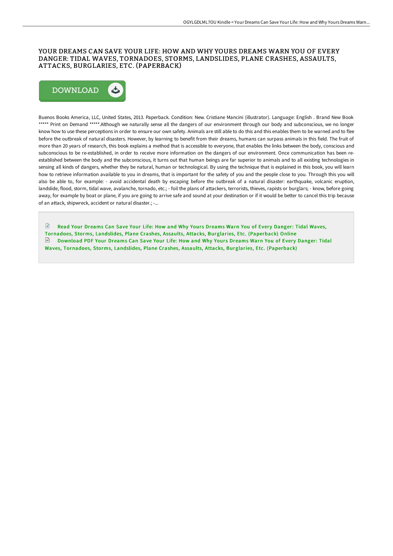### YOUR DREAMS CAN SAVE YOUR LIFE: HOW AND WHY YOURS DREAMS WARN YOU OF EVERY DANGER: TIDAL WAVES, TORNADOES, STORMS, LANDSLIDES, PLANE CRASHES, ASSAULTS, ATTACKS, BURGLARIES, ETC. (PAPERBACK)



Buenos Books America, LLC, United States, 2013. Paperback. Condition: New. Cristiane Mancini (illustrator). Language: English . Brand New Book \*\*\*\*\* Print on Demand \*\*\*\*\*.Although we naturally sense all the dangers of our environment through our body and subconscious, we no longer know how to use these perceptions in order to ensure our own safety. Animals are still able to do this and this enables them to be warned and to flee before the outbreak of natural disasters. However, by learning to benefit from their dreams, humans can surpass animals in this field. The fruit of more than 20 years of research, this book explains a method that is accessible to everyone, that enables the links between the body, conscious and subconscious to be re-established, in order to receive more information on the dangers of our environment. Once communication has been reestablished between the body and the subconscious, it turns out that human beings are far superior to animals and to all existing technologies in sensing all kinds of dangers, whether they be natural, human or technological. By using the technique that is explained in this book, you will learn how to retrieve information available to you in dreams, that is important for the safety of you and the people close to you. Through this you will also be able to, for example: - avoid accidental death by escaping before the outbreak of a natural disaster: earthquake, volcanic eruption, landslide, flood, storm, tidal wave, avalanche, tornado, etc.; - foil the plans of attackers, terrorists, thieves, rapists or burglars; - know, before going away, for example by boat or plane, if you are going to arrive safe and sound at your destination or if it would be better to cancel this trip because of an attack, shipwreck, accident or natural disaster.; -...

 $\mathbb{R}$ Read Your Dreams Can Save Your Life: How and Why Yours Dreams Warn You of Every Danger: Tidal Waves, Tornadoes, Storms, Landslides, Plane Crashes, Assaults, Attacks, Burglaries, Etc. [\(Paperback\)](http://techno-pub.tech/your-dreams-can-save-your-life-how-and-why-yours.html) Online  $\Box$  Download PDF Your Dreams Can Save Your Life: How and Why Yours Dreams Warn You of Every Danger: Tidal Waves, Tornadoes, Storms, Landslides, Plane Crashes, Assaults, Attacks, Burglaries, Etc. [\(Paperback\)](http://techno-pub.tech/your-dreams-can-save-your-life-how-and-why-yours.html)